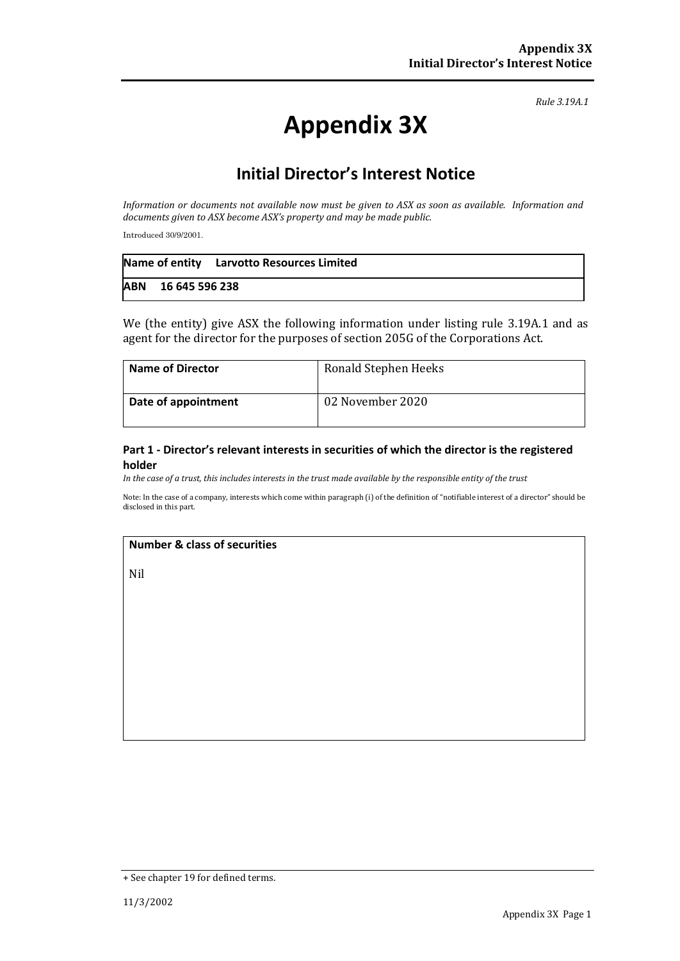*Rule 3.19A.1*

# **Appendix 3X**

# **Initial Director's Interest Notice**

*Information or documents not available now must be given to ASX as soon as available. Information and documents given to ASX become ASX's property and may be made public.*

Introduced 30/9/2001.

|                    | Name of entity Larvotto Resources Limited |
|--------------------|-------------------------------------------|
| ABN 16 645 596 238 |                                           |

We (the entity) give ASX the following information under listing rule 3.19A.1 and as agent for the director for the purposes of section 205G of the Corporations Act.

| <b>Name of Director</b> | Ronald Stephen Heeks |
|-------------------------|----------------------|
| Date of appointment     | 02 November 2020     |

#### **Part 1 - Director's relevant interests in securities of which the director is the registered holder**

*In the case of a trust, this includes interests in the trust made available by the responsible entity of the trust*

Note: In the case of a company, interests which come within paragraph (i) of the definition of "notifiable interest of a director" should be disclosed in this part.

#### **Number & class of securities**

Nil

<sup>+</sup> See chapter 19 for defined terms.